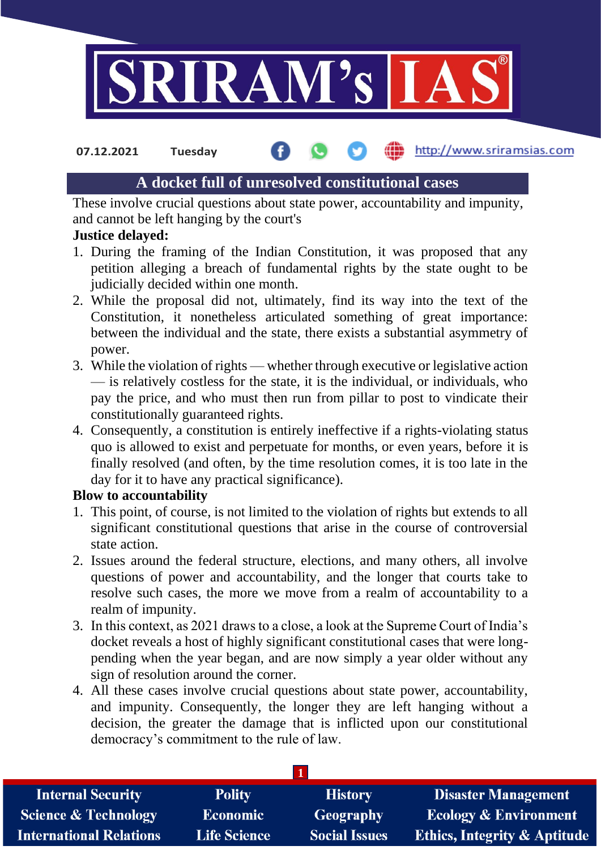

http://www.sriramsias.com **07.12.2021 Tuesday**

# **A docket full of unresolved constitutional cases**

These involve crucial questions about state power, accountability and impunity, and cannot be left hanging by the court's

## **Justice delayed:**

- 1. During the framing of the Indian Constitution, it was proposed that any petition alleging a breach of fundamental rights by the state ought to be judicially decided within one month.
- 2. While the proposal did not, ultimately, find its way into the text of the Constitution, it nonetheless articulated something of great importance: between the individual and the state, there exists a substantial asymmetry of power.
- 3. While the violation of rights whether through executive or legislative action — is relatively costless for the state, it is the individual, or individuals, who pay the price, and who must then run from pillar to post to vindicate their constitutionally guaranteed rights.
- 4. Consequently, a constitution is entirely ineffective if a rights-violating status quo is allowed to exist and perpetuate for months, or even years, before it is finally resolved (and often, by the time resolution comes, it is too late in the day for it to have any practical significance).

## **Blow to accountability**

- 1. This point, of course, is not limited to the violation of rights but extends to all significant constitutional questions that arise in the course of controversial state action.
- 2. Issues around the federal structure, elections, and many others, all involve questions of power and accountability, and the longer that courts take to resolve such cases, the more we move from a realm of accountability to a realm of impunity.
- 3. In this context, as 2021 draws to a close, a look at the Supreme Court of India's docket reveals a host of highly significant constitutional cases that were longpending when the year began, and are now simply a year older without any sign of resolution around the corner.
- 4. All these cases involve crucial questions about state power, accountability, and impunity. Consequently, the longer they are left hanging without a decision, the greater the damage that is inflicted upon our constitutional democracy's commitment to the rule of law.

| <b>Internal Security</b>        | <b>Polity</b>       | <b>History</b>       | <b>Disaster Management</b>              |  |  |
|---------------------------------|---------------------|----------------------|-----------------------------------------|--|--|
| <b>Science &amp; Technology</b> | <b>Economic</b>     | <b>Geography</b>     | <b>Ecology &amp; Environment</b>        |  |  |
| <b>International Relations</b>  | <b>Life Science</b> | <b>Social Issues</b> | <b>Ethics, Integrity &amp; Aptitude</b> |  |  |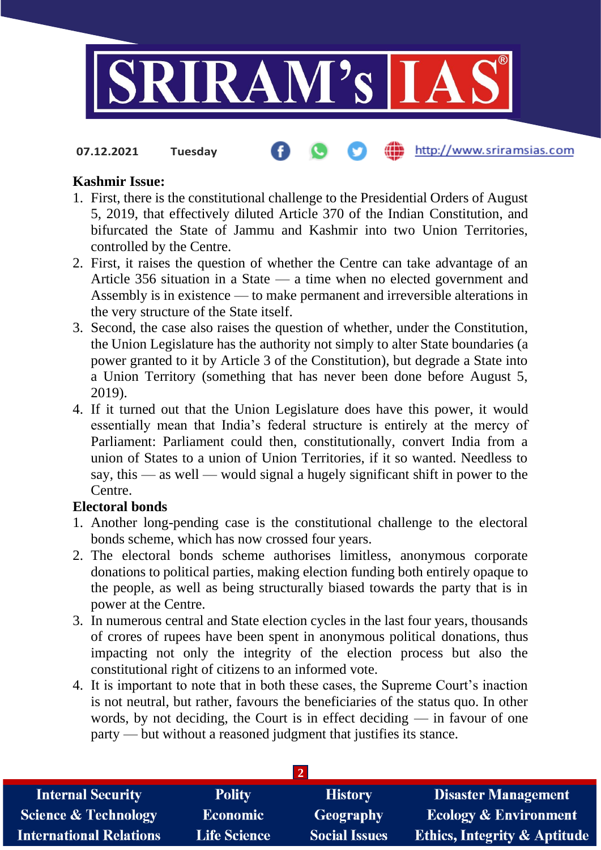

**07.12.2021 Tuesday**

#### http://www.sriramsias.com

#### **Kashmir Issue:**

- 1. First, there is the constitutional challenge to the Presidential Orders of August 5, 2019, that effectively diluted Article 370 of the Indian Constitution, and bifurcated the State of Jammu and Kashmir into two Union Territories, controlled by the Centre.
- 2. First, it raises the question of whether the Centre can take advantage of an Article 356 situation in a State — a time when no elected government and Assembly is in existence — to make permanent and irreversible alterations in the very structure of the State itself.
- 3. Second, the case also raises the question of whether, under the Constitution, the Union Legislature has the authority not simply to alter State boundaries (a power granted to it by Article 3 of the Constitution), but degrade a State into a Union Territory (something that has never been done before August 5, 2019).
- 4. If it turned out that the Union Legislature does have this power, it would essentially mean that India's federal structure is entirely at the mercy of Parliament: Parliament could then, constitutionally, convert India from a union of States to a union of Union Territories, if it so wanted. Needless to say, this — as well — would signal a hugely significant shift in power to the Centre.

### **Electoral bonds**

- 1. Another long-pending case is the constitutional challenge to the electoral bonds scheme, which has now crossed four years.
- 2. The electoral bonds scheme authorises limitless, anonymous corporate donations to political parties, making election funding both entirely opaque to the people, as well as being structurally biased towards the party that is in power at the Centre.
- 3. In numerous central and State election cycles in the last four years, thousands of crores of rupees have been spent in anonymous political donations, thus impacting not only the integrity of the election process but also the constitutional right of citizens to an informed vote.
- 4. It is important to note that in both these cases, the Supreme Court's inaction is not neutral, but rather, favours the beneficiaries of the status quo. In other words, by not deciding, the Court is in effect deciding — in favour of one party — but without a reasoned judgment that justifies its stance.

| <b>Internal Security</b>        | <b>Polity</b>       | <b>History</b>       | <b>Disaster Management</b>              |  |  |
|---------------------------------|---------------------|----------------------|-----------------------------------------|--|--|
| <b>Science &amp; Technology</b> | <b>Economic</b>     | Geography            | <b>Ecology &amp; Environment</b>        |  |  |
| <b>International Relations</b>  | <b>Life Science</b> | <b>Social Issues</b> | <b>Ethics, Integrity &amp; Aptitude</b> |  |  |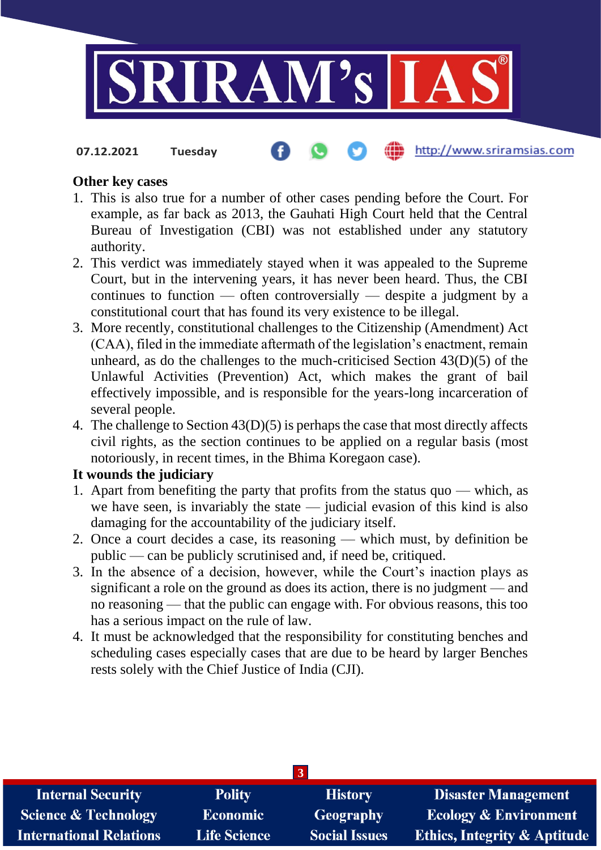

**07.12.2021 Tuesday**

# http://www.sriramsias.com

### **Other key cases**

- 1. This is also true for a number of other cases pending before the Court. For example, as far back as 2013, the Gauhati High Court held that the Central Bureau of Investigation (CBI) was not established under any statutory authority.
- 2. This verdict was immediately stayed when it was appealed to the Supreme Court, but in the intervening years, it has never been heard. Thus, the CBI continues to function — often controversially — despite a judgment by a constitutional court that has found its very existence to be illegal.
- 3. More recently, constitutional challenges to the Citizenship (Amendment) Act (CAA), filed in the immediate aftermath of the legislation's enactment, remain unheard, as do the challenges to the much-criticised Section 43(D)(5) of the Unlawful Activities (Prevention) Act, which makes the grant of bail effectively impossible, and is responsible for the years-long incarceration of several people.
- 4. The challenge to Section 43(D)(5) is perhaps the case that most directly affects civil rights, as the section continues to be applied on a regular basis (most notoriously, in recent times, in the Bhima Koregaon case).

# **It wounds the judiciary**

- 1. Apart from benefiting the party that profits from the status quo which, as we have seen, is invariably the state — judicial evasion of this kind is also damaging for the accountability of the judiciary itself.
- 2. Once a court decides a case, its reasoning which must, by definition be public — can be publicly scrutinised and, if need be, critiqued.
- 3. In the absence of a decision, however, while the Court's inaction plays as significant a role on the ground as does its action, there is no judgment — and no reasoning — that the public can engage with. For obvious reasons, this too has a serious impact on the rule of law.
- 4. It must be acknowledged that the responsibility for constituting benches and scheduling cases especially cases that are due to be heard by larger Benches rests solely with the Chief Justice of India (CJI).

| <b>Internal Security</b>        | <b>Polity</b>       | <b>History</b>       | <b>Disaster Management</b>              |  |  |  |
|---------------------------------|---------------------|----------------------|-----------------------------------------|--|--|--|
| <b>Science &amp; Technology</b> | <b>Economic</b>     | <b>Geography</b>     | <b>Ecology &amp; Environment</b>        |  |  |  |
| <b>International Relations</b>  | <b>Life Science</b> | <b>Social Issues</b> | <b>Ethics, Integrity &amp; Aptitude</b> |  |  |  |